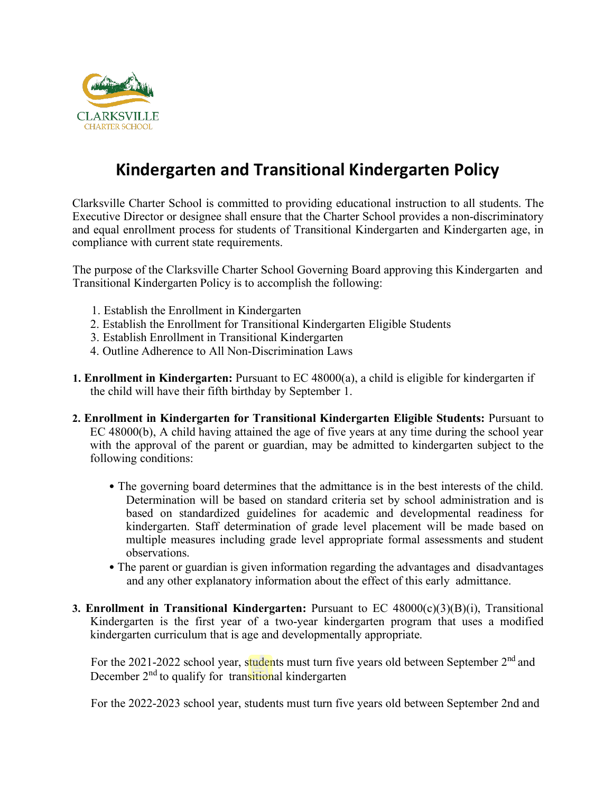

## **Kindergarten and Transitional Kindergarten Policy**

Clarksville Charter School is committed to providing educational instruction to all students. The Executive Director or designee shall ensure that the Charter School provides a non-discriminatory and equal enrollment process for students of Transitional Kindergarten and Kindergarten age, in compliance with current state requirements.

The purpose of the Clarksville Charter School Governing Board approving this Kindergarten and Transitional Kindergarten Policy is to accomplish the following:

- 1. Establish the Enrollment in Kindergarten
- 2. Establish the Enrollment for Transitional Kindergarten Eligible Students
- 3. Establish Enrollment in Transitional Kindergarten
- 4. Outline Adherence to All Non-Discrimination Laws
- **1. Enrollment in Kindergarten:** Pursuant to EC 48000(a), a child is eligible for kindergarten if the child will have their fifth birthday by September 1.
- **2. Enrollment in Kindergarten for Transitional Kindergarten Eligible Students:** Pursuant to EC 48000(b), A child having attained the age of five years at any time during the school year with the approval of the parent or guardian, may be admitted to kindergarten subject to the following conditions:
	- The governing board determines that the admittance is in the best interests of the child. Determination will be based on standard criteria set by school administration and is based on standardized guidelines for academic and developmental readiness for kindergarten. Staff determination of grade level placement will be made based on multiple measures including grade level appropriate formal assessments and student observations.
	- The parent or guardian is given information regarding the advantages and disadvantages and any other explanatory information about the effect of this early admittance.
- **3. Enrollment in Transitional Kindergarten:** Pursuant to EC 48000(c)(3)(B)(i), Transitional Kindergarten is the first year of a two-year kindergarten program that uses a modified kindergarten curriculum that is age and developmentally appropriate.

For the 2021-2022 school year, students must turn five years old between September 2<sup>nd</sup> and December  $2<sup>nd</sup>$  to qualify for transitional kindergarten

For the 2022-2023 school year, students must turn five years old between September 2nd and